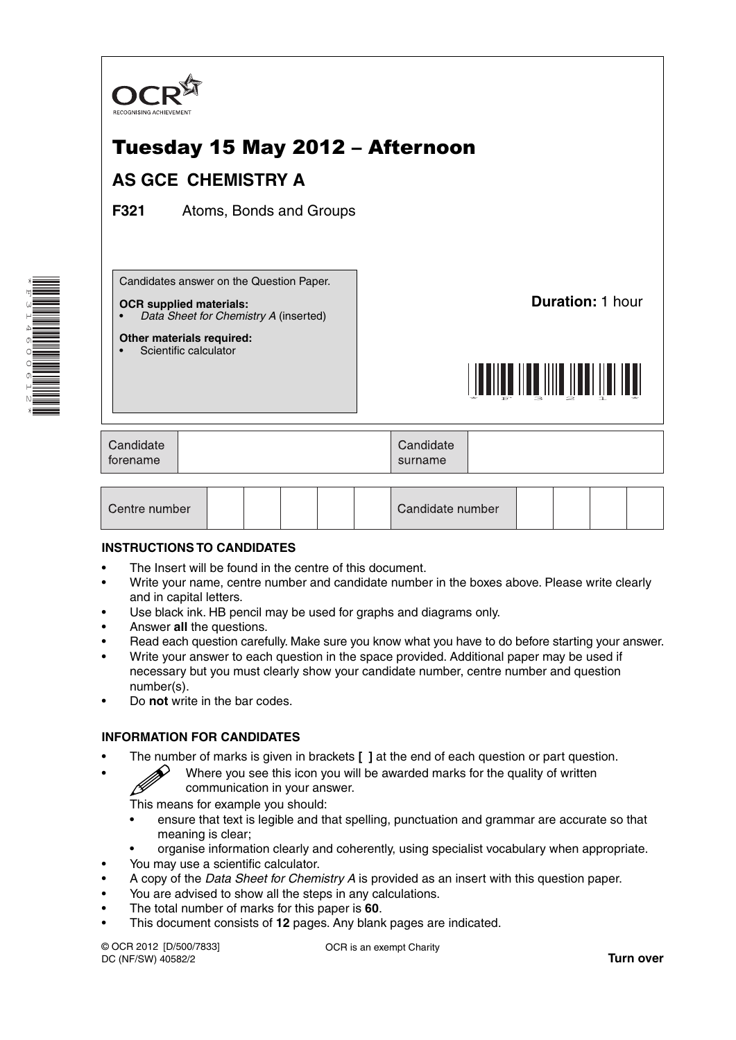

| Candidate<br>forename |  |  |  |  | Candidate<br>surname |  |  |  |  |
|-----------------------|--|--|--|--|----------------------|--|--|--|--|
|                       |  |  |  |  |                      |  |  |  |  |
|                       |  |  |  |  |                      |  |  |  |  |

Candidate number

### **INSTRUCTIONS TO CANDIDATES**

Centre number

- The Insert will be found in the centre of this document.
- Write your name, centre number and candidate number in the boxes above. Please write clearly and in capital letters.
- Use black ink. HB pencil may be used for graphs and diagrams only.
- Answer **all** the questions.
- Read each question carefully. Make sure you know what you have to do before starting your answer.
- Write your answer to each question in the space provided. Additional paper may be used if necessary but you must clearly show your candidate number, centre number and question number(s).
- Do **not** write in the bar codes.

## **INFORMATION FOR CANDIDATES**

- The number of marks is given in brackets **[ ]** at the end of each question or part question.
	- Where you see this icon you will be awarded marks for the quality of written communication in your answer.

This means for example you should:

- ensure that text is legible and that spelling, punctuation and grammar are accurate so that meaning is clear;
- organise information clearly and coherently, using specialist vocabulary when appropriate.
- You may use a scientific calculator.
- A copy of the *Data Sheet for Chemistry A* is provided as an insert with this question paper.
- You are advised to show all the steps in any calculations.
- The total number of marks for this paper is **60**.
- This document consists of **12** pages. Any blank pages are indicated.

© OCR 2012 [D/500/7833] DC (NF/SW) 40582/2

OCR is an exempt Charity

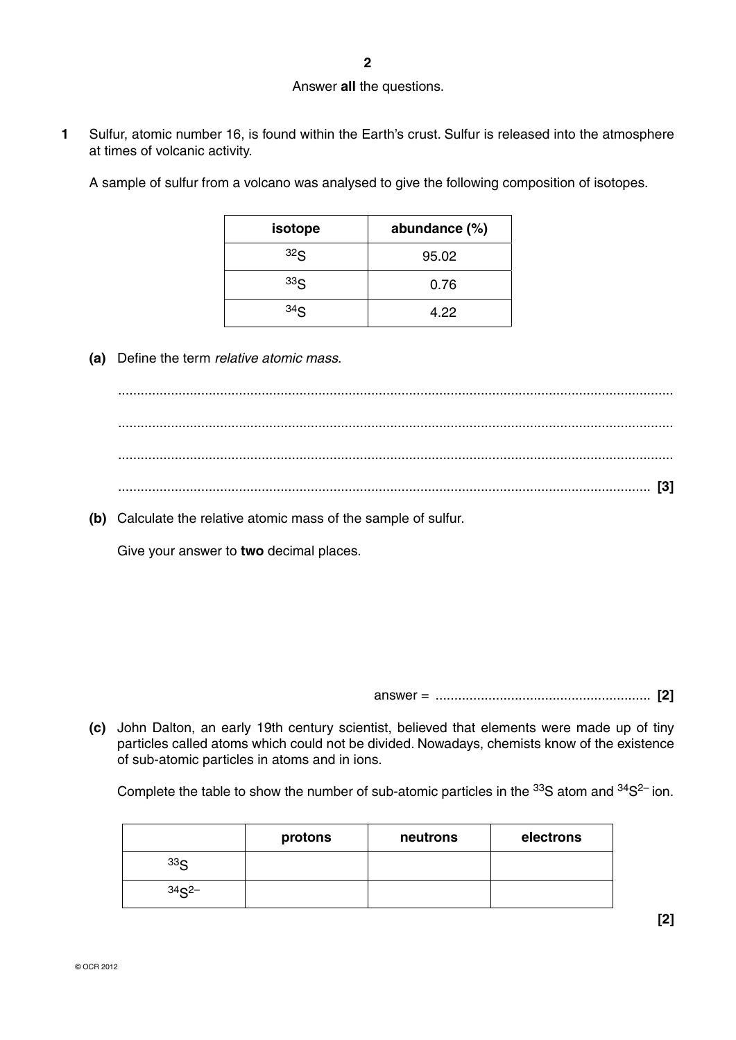#### Answer **all** the questions.

**1** Sulfur, atomic number 16, is found within the Earth's crust. Sulfur is released into the atmosphere at times of volcanic activity.

A sample of sulfur from a volcano was analysed to give the following composition of isotopes.

| isotope         | abundance (%) |
|-----------------|---------------|
| 32 <sub>S</sub> | 95.02         |
| 33 <sub>S</sub> | 0.76          |
| 34 <sub>S</sub> | 4.22          |

 **(a)** Define the term *relative atomic mass*.

 ................................................................................................................................................... ................................................................................................................................................... ................................................................................................................................................... ............................................................................................................................................. **[3]**

 **(b)** Calculate the relative atomic mass of the sample of sulfur.

Give your answer to **two** decimal places.

answer = ......................................................... **[2]**

 **(c)** John Dalton, an early 19th century scientist, believed that elements were made up of tiny particles called atoms which could not be divided. Nowadays, chemists know of the existence of sub-atomic particles in atoms and in ions.

Complete the table to show the number of sub-atomic particles in the <sup>33</sup>S atom and <sup>34</sup>S<sup>2–</sup> ion.

|                 | protons | neutrons | electrons |
|-----------------|---------|----------|-----------|
| 33 <sub>S</sub> |         |          |           |
| $34S^{2-}$      |         |          |           |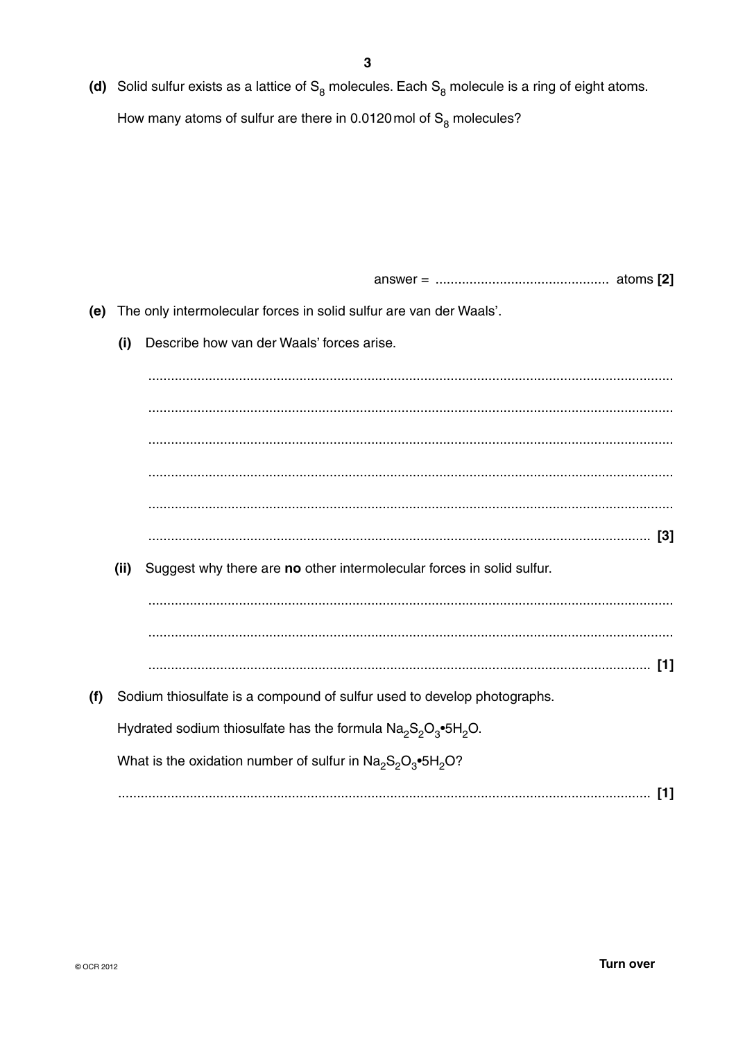(d) Solid sulfur exists as a lattice of  $S_8$  molecules. Each  $S_8$  molecule is a ring of eight atoms.

How many atoms of sulfur are there in 0.0120 mol of  $S_8$  molecules?

(e) The only intermolecular forces in solid sulfur are van der Waals'.

Describe how van der Waals' forces arise.  $(i)$ 

(ii) Suggest why there are no other intermolecular forces in solid sulfur. (f) Sodium thiosulfate is a compound of sulfur used to develop photographs. Hydrated sodium thiosulfate has the formula  $Na<sub>2</sub>Si<sub>2</sub>O<sub>3</sub>•5H<sub>2</sub>O$ . What is the oxidation number of sulfur in  $\text{Na}_2\text{S}_2\text{O}_3\text{-}5\text{H}_2\text{O}$ ?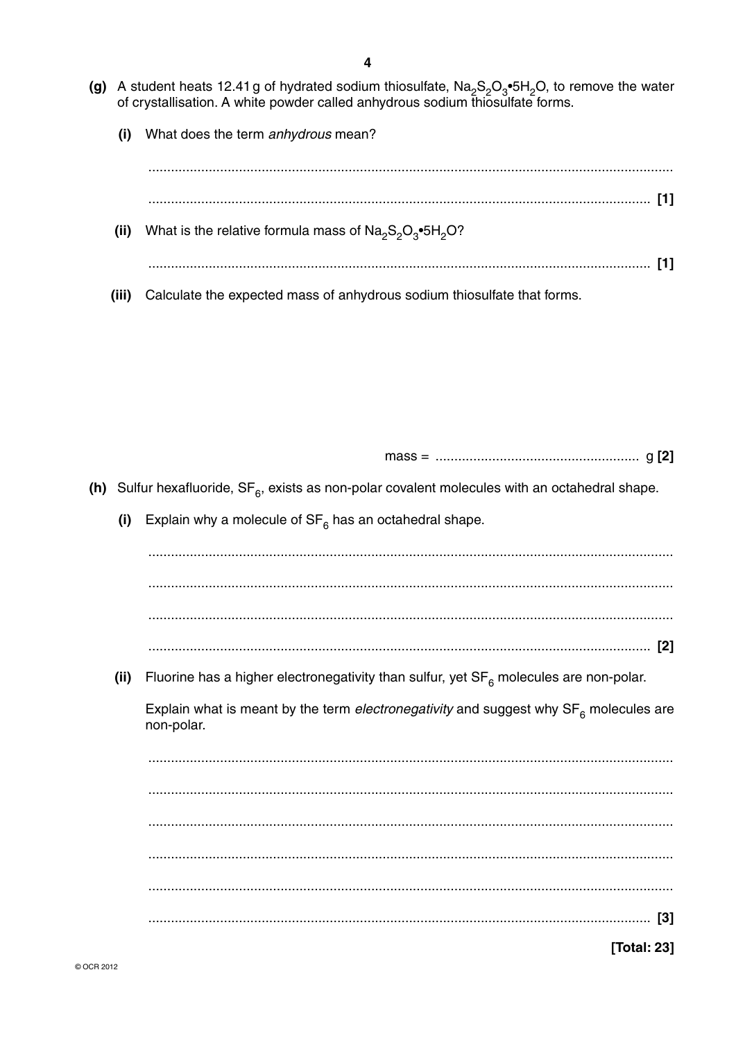- (g) A student heats 12.41 g of hydrated sodium thiosulfate,  $\text{Na}_2\text{S}_2\text{O}_3\text{*}5\text{H}_2\text{O}$ , to remove the water of crystallisation. A white powder called anhydrous sodium thiosulfate forms.
	- What does the term anhydrous mean?  $(i)$

What is the relative formula mass of  $\text{Na}_2\text{S}_2\text{O}_3\text{*}5\text{H}_2\text{O}$ ?  $(ii)$  $(iii)$ Calculate the expected mass of anhydrous sodium thiosulfate that forms.

(h) Sulfur hexafluoride,  $SF_{\beta}$ , exists as non-polar covalent molecules with an octahedral shape. Explain why a molecule of  $SF_6$  has an octahedral shape. Fluorine has a higher electronegativity than sulfur, yet  $SF<sub>6</sub>$  molecules are non-polar. Explain what is meant by the term electronegativity and suggest why  $SF<sub>6</sub>$  molecules are non-polar. **[Total: 23]** 

 $(i)$ 

 $(ii)$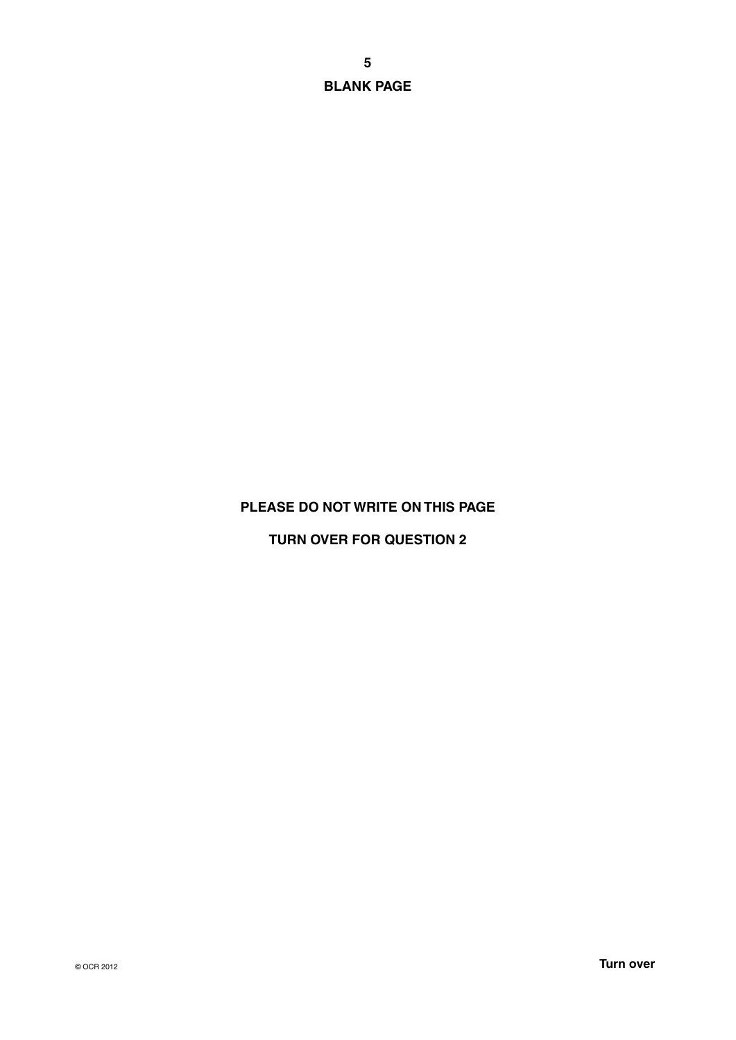**5 BLANK PAGE**

## **PLEASE DO NOT WRITE ON THIS PAGE**

**TURN OVER FOR QUESTION 2**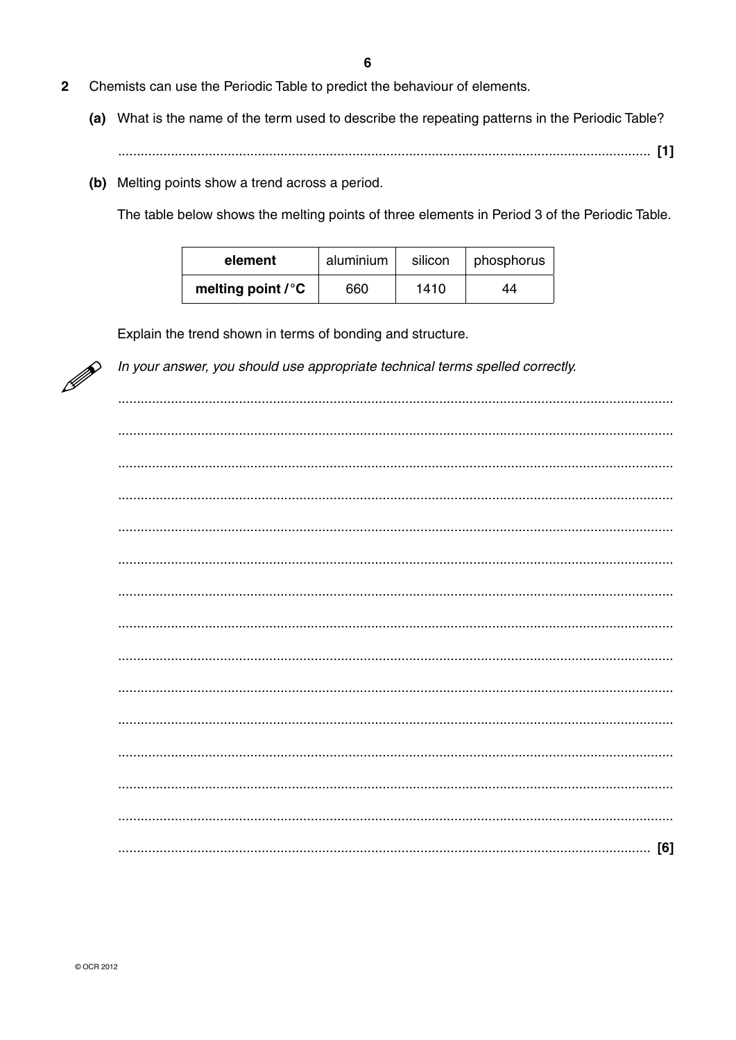- $\overline{2}$ Chemists can use the Periodic Table to predict the behaviour of elements.
	- (a) What is the name of the term used to describe the repeating patterns in the Periodic Table?
	- (b) Melting points show a trend across a period.

The table below shows the melting points of three elements in Period 3 of the Periodic Table.

| element            | aluminium | silicon | phosphorus |  |
|--------------------|-----------|---------|------------|--|
| melting point / °C | 660       | 1410    | 44         |  |

Explain the trend shown in terms of bonding and structure.



In your answer, you should use appropriate technical terms spelled correctly.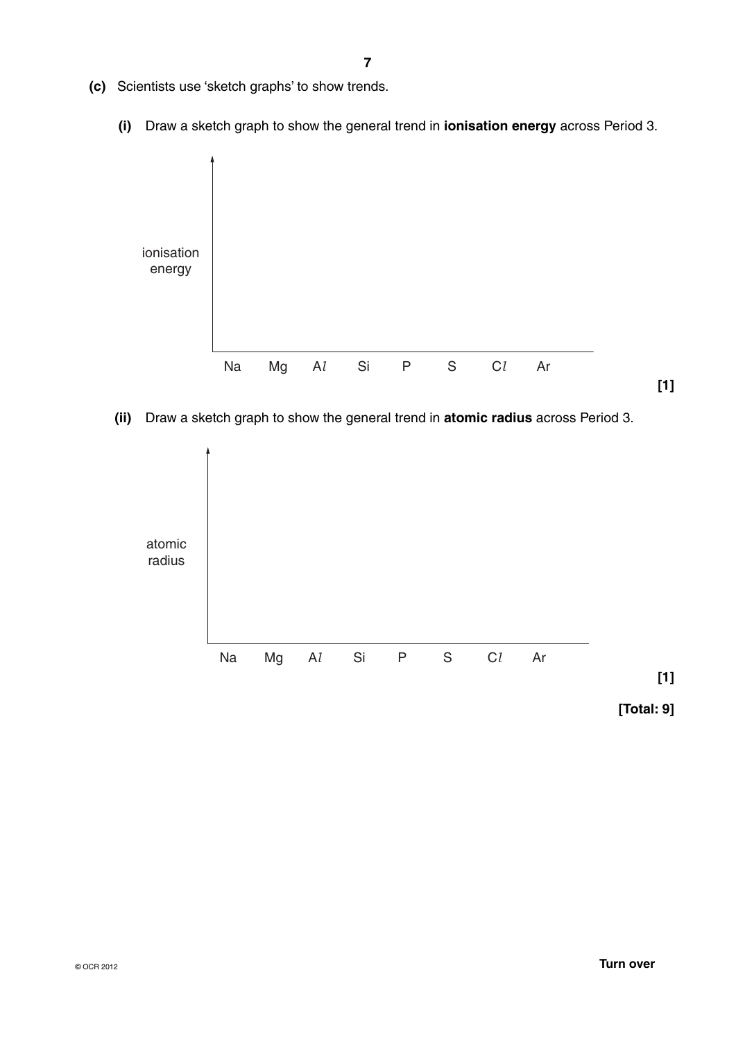- **(c)** Scientists use 'sketch graphs' to show trends.
	- **(i)** Draw a sketch graph to show the general trend in **ionisation energy** across Period 3.



 **(ii)** Draw a sketch graph to show the general trend in **atomic radius** across Period 3.

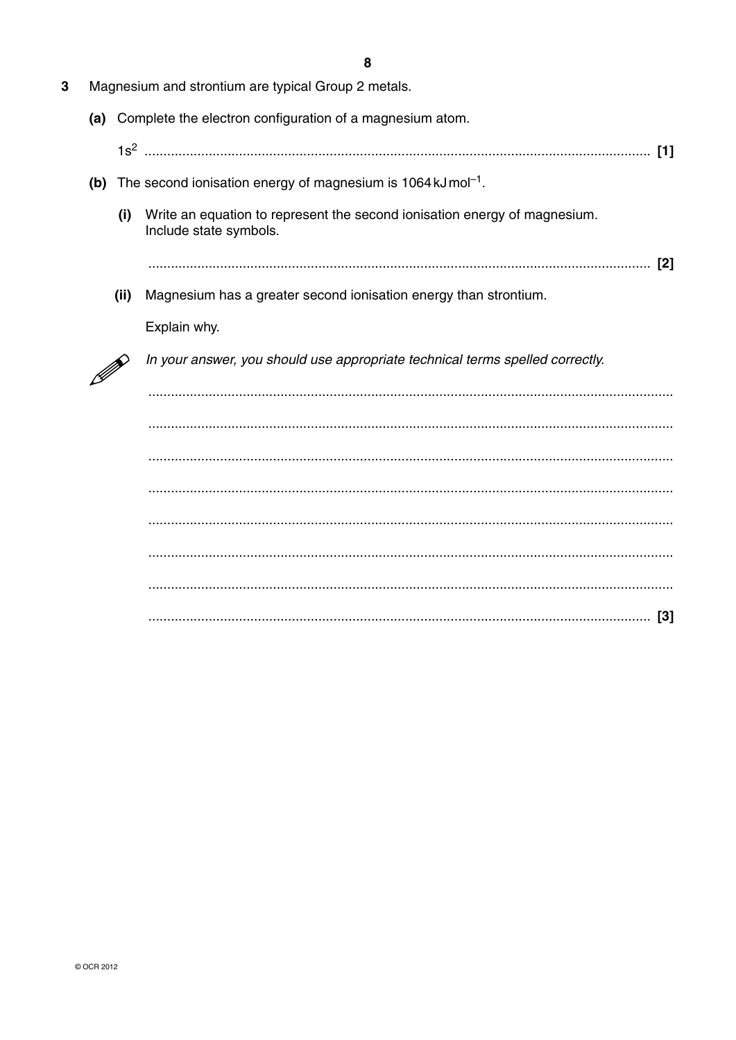|     |      | 8                                                                                                   |
|-----|------|-----------------------------------------------------------------------------------------------------|
|     |      | Magnesium and strontium are typical Group 2 metals.                                                 |
|     |      | (a) Complete the electron configuration of a magnesium atom.                                        |
|     |      | [1]                                                                                                 |
| (b) |      | The second ionisation energy of magnesium is 1064 kJ mol <sup>-1</sup> .                            |
|     | (i)  | Write an equation to represent the second ionisation energy of magnesium.<br>Include state symbols. |
|     |      | $[2]$                                                                                               |
|     | (ii) | Magnesium has a greater second ionisation energy than strontium.                                    |
|     |      | Explain why.                                                                                        |
|     |      | In your answer, you should use appropriate technical terms spelled correctly.                       |
|     |      |                                                                                                     |
|     |      |                                                                                                     |
|     |      |                                                                                                     |
|     |      |                                                                                                     |
|     |      |                                                                                                     |
|     |      |                                                                                                     |
|     |      |                                                                                                     |
|     |      |                                                                                                     |

 $\overline{3}$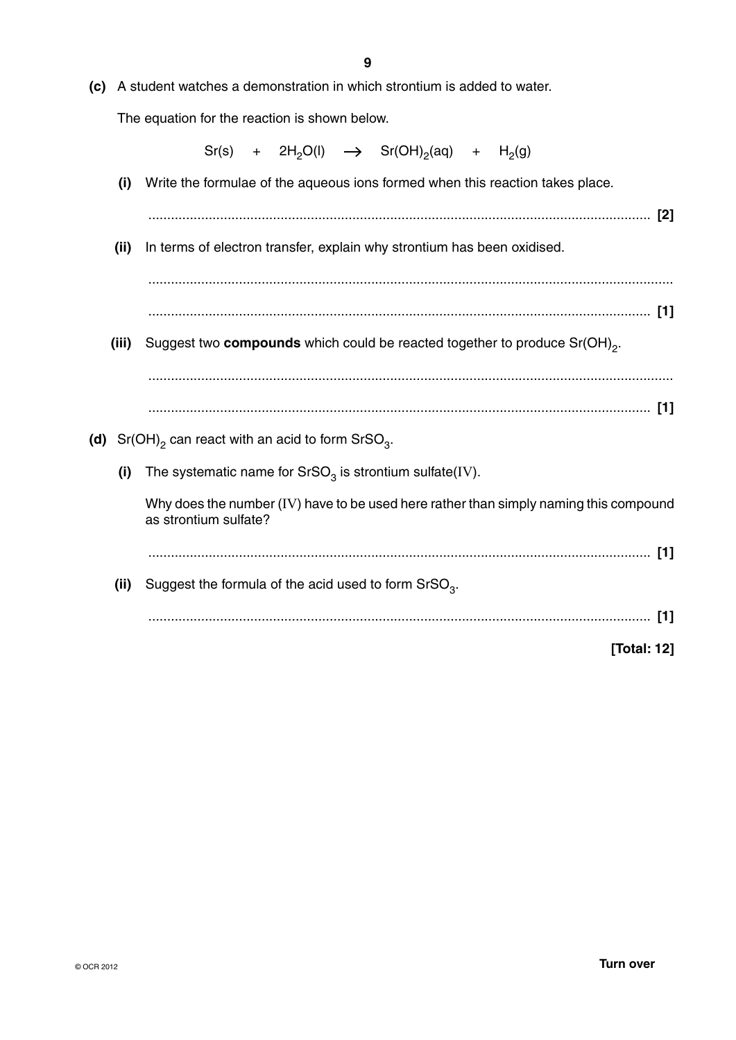**(c)** A student watches a demonstration in which strontium is added to water.

The equation for the reaction is shown below.

|       | $Sr(s)$ + $2H_2O(l)$ $\rightarrow$ $Sr(OH)_2(aq)$ + $H_2(g)$                                                   |
|-------|----------------------------------------------------------------------------------------------------------------|
| (i)   | Write the formulae of the aqueous ions formed when this reaction takes place.                                  |
|       |                                                                                                                |
| (ii)  | In terms of electron transfer, explain why strontium has been oxidised.                                        |
|       |                                                                                                                |
|       |                                                                                                                |
| (iii) | Suggest two compounds which could be reacted together to produce Sr(OH) <sub>2</sub> .                         |
|       |                                                                                                                |
|       |                                                                                                                |
|       | (d) $Sr(OH)_{2}$ can react with an acid to form $SrSO_{3}$ .                                                   |
| (i)   | The systematic name for $SrSO3$ is strontium sulfate(IV).                                                      |
|       | Why does the number (IV) have to be used here rather than simply naming this compound<br>as strontium sulfate? |
|       |                                                                                                                |
| (ii)  | Suggest the formula of the acid used to form $SrSO3$ .                                                         |
|       | $[1]$                                                                                                          |
|       | [Total: 12]                                                                                                    |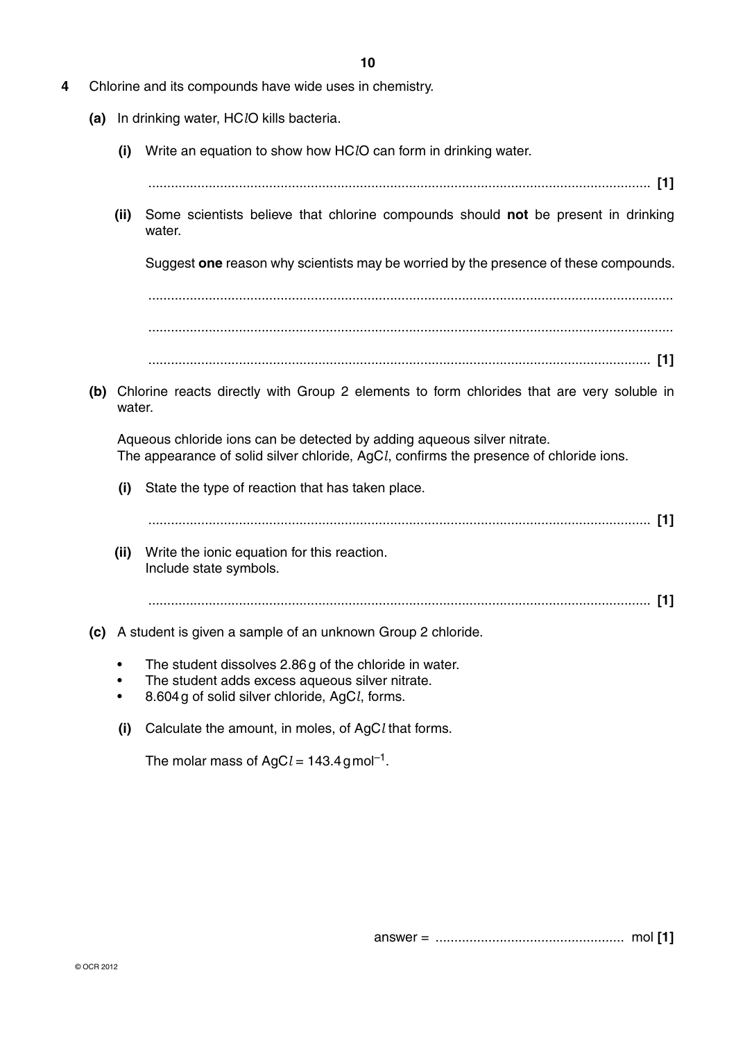- **4** Chlorine and its compounds have wide uses in chemistry.
	- **(a)** In drinking water, HC*l*O kills bacteria.
		- **(i)** Write an equation to show how HC*l*O can form in drinking water.

..................................................................................................................................... **[1]**

 **(ii)** Some scientists believe that chlorine compounds should **not** be present in drinking water.

Suggest **one** reason why scientists may be worried by the presence of these compounds.

 ........................................................................................................................................... ........................................................................................................................................... ..................................................................................................................................... **[1]**

 **(b)** Chlorine reacts directly with Group 2 elements to form chlorides that are very soluble in water.

Aqueous chloride ions can be detected by adding aqueous silver nitrate. The appearance of solid silver chloride, AgC*l*, confirms the presence of chloride ions.

 **(i)** State the type of reaction that has taken place.

..................................................................................................................................... **[1]**

- **(ii)** Write the ionic equation for this reaction. Include state symbols.
	- ..................................................................................................................................... **[1]**
- **(c)** A student is given a sample of an unknown Group 2 chloride.
	- The student dissolves 2.86 g of the chloride in water.
	- The student adds excess aqueous silver nitrate.
	- 8.604 g of solid silver chloride, AgC*l*, forms.
	- **(i)** Calculate the amount, in moles, of AgC*l* that forms.

The molar mass of AgC $l = 143.4$  g mol<sup>-1</sup>.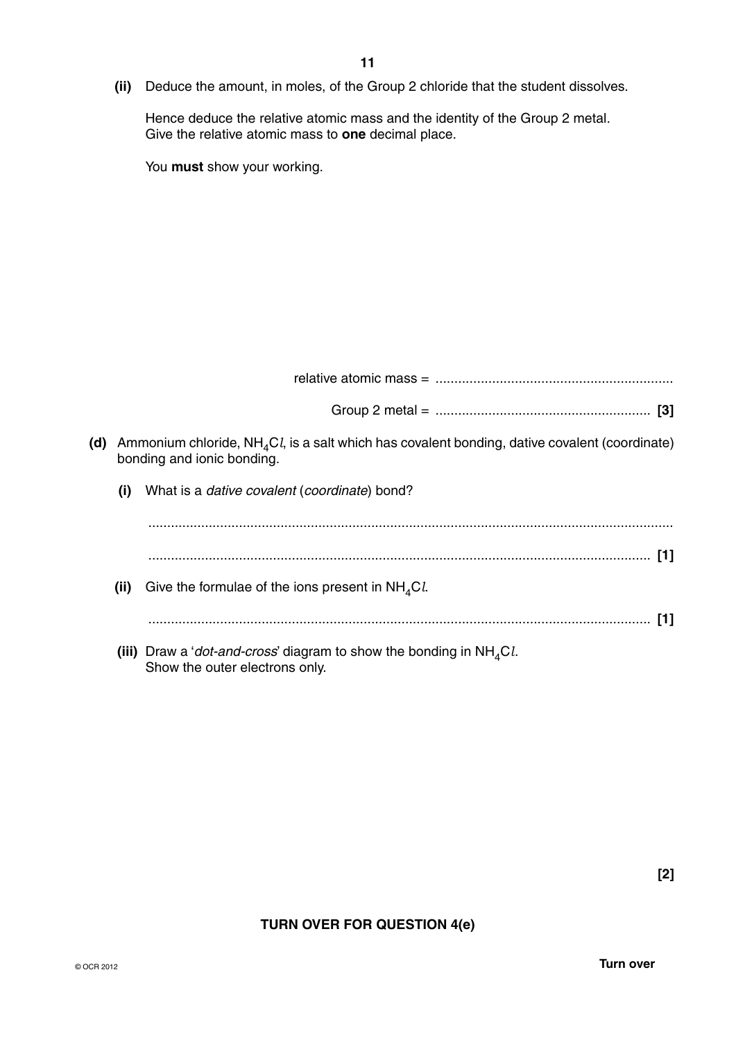**(ii)** Deduce the amount, in moles, of the Group 2 chloride that the student dissolves.

Hence deduce the relative atomic mass and the identity of the Group 2 metal. Give the relative atomic mass to **one** decimal place.

You **must** show your working.

| (d) |      | Ammonium chloride, $NH_{4}Cl$ , is a salt which has covalent bonding, dative covalent (coordinate)<br>bonding and ionic bonding. |
|-----|------|----------------------------------------------------------------------------------------------------------------------------------|
|     | (i)  | What is a <i>dative covalent (coordinate)</i> bond?                                                                              |
|     |      |                                                                                                                                  |
|     |      |                                                                                                                                  |
|     | (ii) | Give the formulae of the ions present in $NH4Cl$ .                                                                               |
|     |      |                                                                                                                                  |
|     |      | (iii) Draw a ' <i>dot-and-cross</i> ' diagram to show the bonding in $NH4Cl$ .<br>Show the outer electrons only.                 |

# **TURN OVER FOR QUESTION 4(e)**